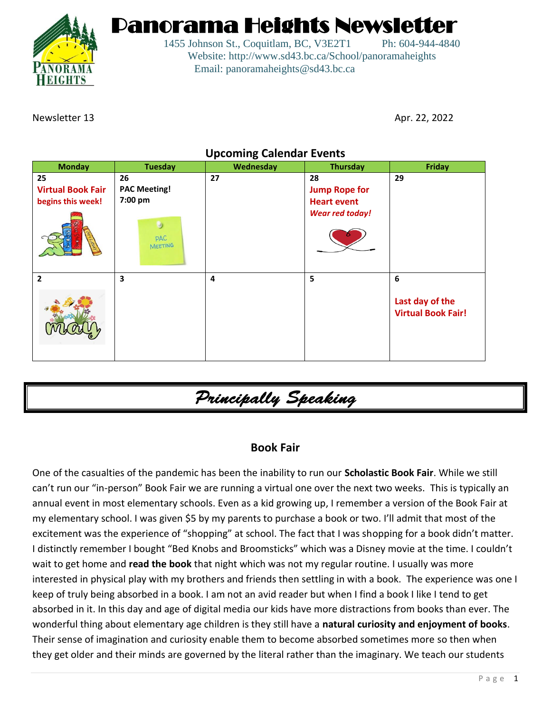

Panorama Heights Newsletter

1455 Johnson St., Coquitlam, BC, V3E2T1 Ph: 604-944-4840 Website: http://www.sd43.bc.ca/School/panoramaheights Email: panoramaheights@sd43.bc.ca

Newsletter 13 Apr. 22, 2022

### **Upcoming Calendar Events**

| <b>Monday</b>            | <b>Tuesday</b>               | ັ<br>Wednesday | <b>Thursday</b>        | <b>Friday</b>                                |
|--------------------------|------------------------------|----------------|------------------------|----------------------------------------------|
| 25                       | 26                           | 27             | 28                     | 29                                           |
| <b>Virtual Book Fair</b> | <b>PAC Meeting!</b>          |                | <b>Jump Rope for</b>   |                                              |
| begins this week!        | 7:00 pm                      |                | <b>Heart event</b>     |                                              |
|                          | <b>PAC</b><br><b>MEETING</b> |                | <b>Wear red today!</b> |                                              |
| $\overline{2}$           | 3                            | 4              | 5                      | $\boldsymbol{6}$                             |
|                          |                              |                |                        | Last day of the<br><b>Virtual Book Fair!</b> |

Principally Speaking

### **Book Fair**

One of the casualties of the pandemic has been the inability to run our **Scholastic Book Fair**. While we still can't run our "in-person" Book Fair we are running a virtual one over the next two weeks. This is typically an annual event in most elementary schools. Even as a kid growing up, I remember a version of the Book Fair at my elementary school. I was given \$5 by my parents to purchase a book or two. I'll admit that most of the excitement was the experience of "shopping" at school. The fact that I was shopping for a book didn't matter. I distinctly remember I bought "Bed Knobs and Broomsticks" which was a Disney movie at the time. I couldn't wait to get home and **read the book** that night which was not my regular routine. I usually was more interested in physical play with my brothers and friends then settling in with a book. The experience was one I keep of truly being absorbed in a book. I am not an avid reader but when I find a book I like I tend to get absorbed in it. In this day and age of digital media our kids have more distractions from books than ever. The wonderful thing about elementary age children is they still have a **natural curiosity and enjoyment of books**. Their sense of imagination and curiosity enable them to become absorbed sometimes more so then when they get older and their minds are governed by the literal rather than the imaginary. We teach our students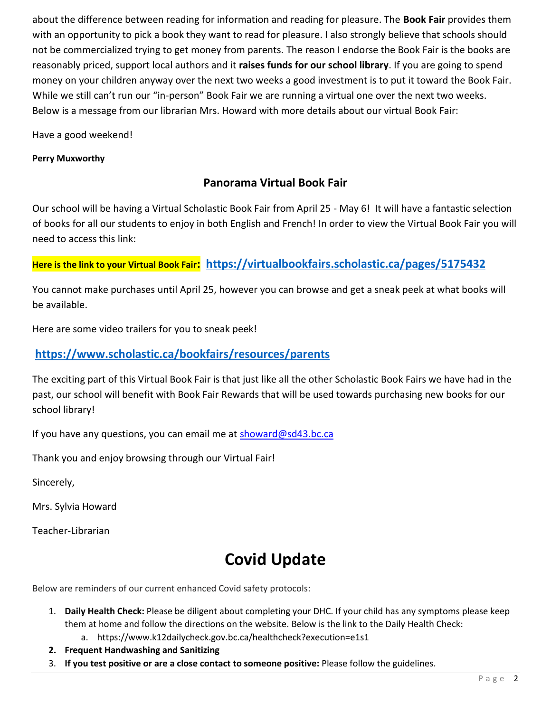about the difference between reading for information and reading for pleasure. The **Book Fair** provides them with an opportunity to pick a book they want to read for pleasure. I also strongly believe that schools should not be commercialized trying to get money from parents. The reason I endorse the Book Fair is the books are reasonably priced, support local authors and it **raises funds for our school library**. If you are going to spend money on your children anyway over the next two weeks a good investment is to put it toward the Book Fair. While we still can't run our "in-person" Book Fair we are running a virtual one over the next two weeks. Below is a message from our librarian Mrs. Howard with more details about our virtual Book Fair:

Have a good weekend!

#### **Perry Muxworthy**

### **Panorama Virtual Book Fair**

Our school will be having a Virtual Scholastic Book Fair from April 25 - May 6! It will have a fantastic selection of books for all our students to enjoy in both English and French! In order to view the Virtual Book Fair you will need to access this link:

### **Here is the link to your Virtual Book Fair: <https://virtualbookfairs.scholastic.ca/pages/5175432>**

You cannot make purchases until April 25, however you can browse and get a sneak peek at what books will be available.

Here are some video trailers for you to sneak peek!

### **<https://www.scholastic.ca/bookfairs/resources/parents>**

The exciting part of this Virtual Book Fair is that just like all the other Scholastic Book Fairs we have had in the past, our school will benefit with Book Fair Rewards that will be used towards purchasing new books for our school library!

If you have any questions, you can email me at [showard@sd43.bc.ca](mailto:showard@sd43.bc.ca)

Thank you and enjoy browsing through our Virtual Fair!

Sincerely,

Mrs. Sylvia Howard

Teacher-Librarian

# **Covid Update**

Below are reminders of our current enhanced Covid safety protocols:

- 1. **Daily Health Check:** Please be diligent about completing your DHC. If your child has any symptoms please keep them at home and follow the directions on the website. Below is the link to the Daily Health Check:
	- a. https://www.k12dailycheck.gov.bc.ca/healthcheck?execution=e1s1
- **2. Frequent Handwashing and Sanitizing**
- 3. **If you test positive or are a close contact to someone positive:** Please follow the guidelines.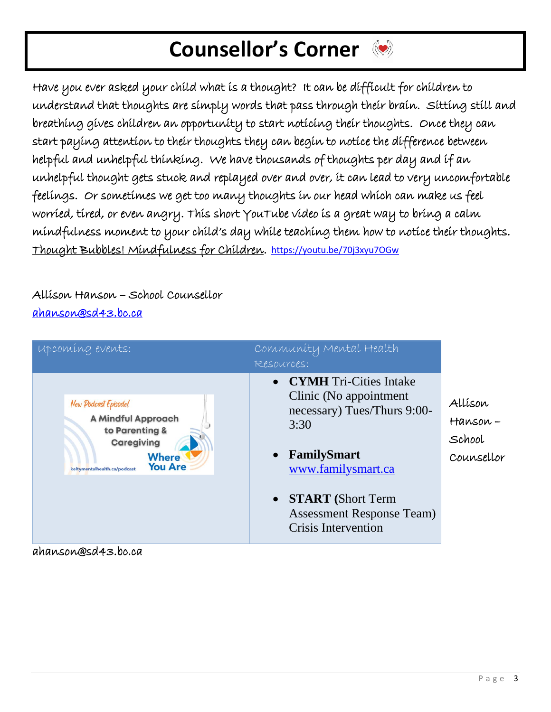# **Counsellor's Corner**

Have you ever asked your child what is a thought? It can be difficult for children to understand that thoughts are simply words that pass through their brain. Sitting still and breathing gives children an opportunity to start noticing their thoughts. Once they can start paying attention to their thoughts they can begin to notice the difference between helpful and unhelpful thinking. We have thousands of thoughts per day and if an unhelpful thought gets stuck and replayed over and over, it can lead to very uncomfortable feelings. Or sometimes we get too many thoughts in our head which can make us feel worried, tired, or even angry. This short YouTube video is a great way to bring a calm mindfulness moment to your child's day while teaching them how to notice their thoughts. Thought Bubbles! Mindfulness for Children.<https://youtu.be/70j3xyu7OGw>

Allison Hanson – School Counsellor [ahanson@sd43.bc.ca](mailto:ahanson@sd43.bc.ca) 



ahanson@sd43.bc.ca